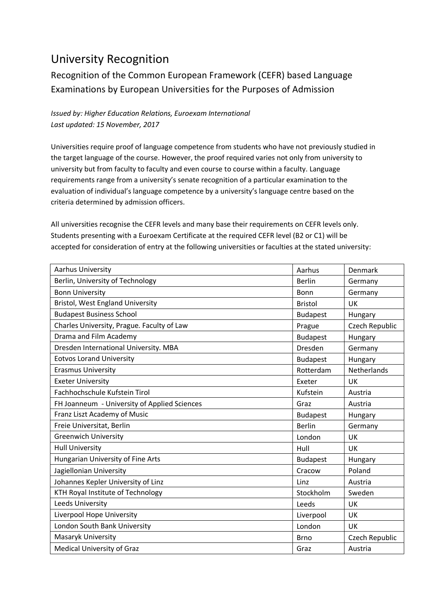## University Recognition

## Recognition of the Common European Framework (CEFR) based Language Examinations by European Universities for the Purposes of Admission

## *Issued by: Higher Education Relations, Euroexam International Last updated: 15 November, 2017*

Universities require proof of language competence from students who have not previously studied in the target language of the course. However, the proof required varies not only from university to university but from faculty to faculty and even course to course within a faculty. Language requirements range from a university's senate recognition of a particular examination to the evaluation of individual's language competence by a university's language centre based on the criteria determined by admission officers.

All universities recognise the CEFR levels and many base their requirements on CEFR levels only. Students presenting with a Euroexam Certificate at the required CEFR level (B2 or C1) will be accepted for consideration of entry at the following universities or faculties at the stated university:

| <b>Aarhus University</b>                     | Aarhus          | <b>Denmark</b> |
|----------------------------------------------|-----------------|----------------|
| Berlin, University of Technology             | <b>Berlin</b>   | Germany        |
| <b>Bonn University</b>                       | Bonn            | Germany        |
| <b>Bristol, West England University</b>      | <b>Bristol</b>  | <b>UK</b>      |
| <b>Budapest Business School</b>              | <b>Budapest</b> | Hungary        |
| Charles University, Prague. Faculty of Law   | Prague          | Czech Republic |
| Drama and Film Academy                       | <b>Budapest</b> | Hungary        |
| Dresden International University. MBA        | Dresden         | Germany        |
| <b>Eotvos Lorand University</b>              | <b>Budapest</b> | Hungary        |
| <b>Erasmus University</b>                    | Rotterdam       | Netherlands    |
| <b>Exeter University</b>                     | Exeter          | <b>UK</b>      |
| Fachhochschule Kufstein Tirol                | Kufstein        | Austria        |
| FH Joanneum - University of Applied Sciences | Graz            | Austria        |
| Franz Liszt Academy of Music                 | <b>Budapest</b> | Hungary        |
| Freie Universitat, Berlin                    | <b>Berlin</b>   | Germany        |
| <b>Greenwich University</b>                  | London          | UK             |
| <b>Hull University</b>                       | Hull            | UK             |
| Hungarian University of Fine Arts            | <b>Budapest</b> | Hungary        |
| Jagiellonian University                      | Cracow          | Poland         |
| Johannes Kepler University of Linz           | Linz            | Austria        |
| KTH Royal Institute of Technology            | Stockholm       | Sweden         |
| Leeds University                             | Leeds           | <b>UK</b>      |
| Liverpool Hope University                    | Liverpool       | UK             |
| London South Bank University                 | London          | <b>UK</b>      |
| Masaryk University                           | <b>Brno</b>     | Czech Republic |
| <b>Medical University of Graz</b>            | Graz            | Austria        |